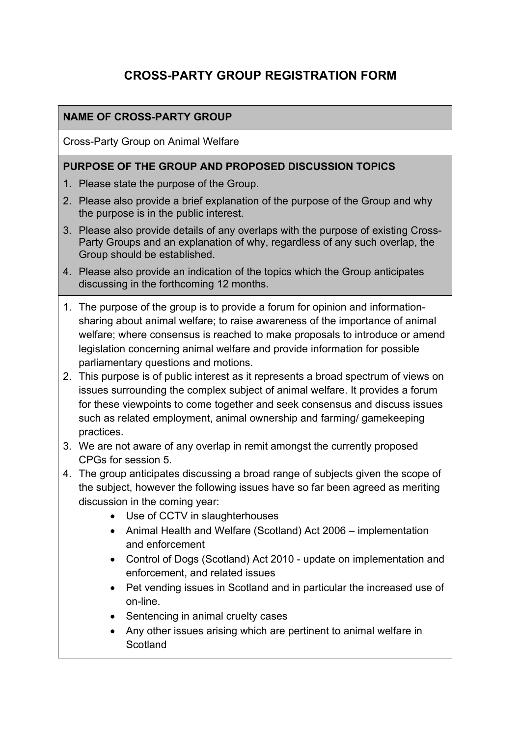# **CROSS-PARTY GROUP REGISTRATION FORM**

## **NAME OF CROSS-PARTY GROUP**

Cross-Party Group on Animal Welfare

#### **PURPOSE OF THE GROUP AND PROPOSED DISCUSSION TOPICS**

- 1. Please state the purpose of the Group.
- 2. Please also provide a brief explanation of the purpose of the Group and why the purpose is in the public interest.
- 3. Please also provide details of any overlaps with the purpose of existing Cross-Party Groups and an explanation of why, regardless of any such overlap, the Group should be established.
- 4. Please also provide an indication of the topics which the Group anticipates discussing in the forthcoming 12 months.
- 1. The purpose of the group is to provide a forum for opinion and informationsharing about animal welfare; to raise awareness of the importance of animal welfare; where consensus is reached to make proposals to introduce or amend legislation concerning animal welfare and provide information for possible parliamentary questions and motions.
- 2. This purpose is of public interest as it represents a broad spectrum of views on issues surrounding the complex subject of animal welfare. It provides a forum for these viewpoints to come together and seek consensus and discuss issues such as related employment, animal ownership and farming/ gamekeeping practices.
- 3. We are not aware of any overlap in remit amongst the currently proposed CPGs for session 5.
- 4. The group anticipates discussing a broad range of subjects given the scope of the subject, however the following issues have so far been agreed as meriting discussion in the coming year:
	- Use of CCTV in slaughterhouses
	- Animal Health and Welfare (Scotland) Act 2006 implementation and enforcement
	- Control of Dogs (Scotland) Act 2010 update on implementation and enforcement, and related issues
	- Pet vending issues in Scotland and in particular the increased use of on-line.
	- Sentencing in animal cruelty cases
	- Any other issues arising which are pertinent to animal welfare in **Scotland**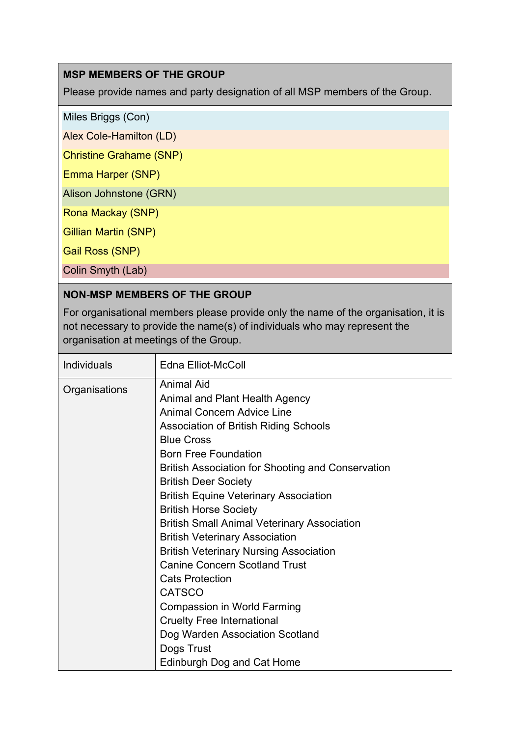## **MSP MEMBERS OF THE GROUP**

Please provide names and party designation of all MSP members of the Group.

Miles Briggs (Con)

Alex Cole-Hamilton (LD)

Christine Grahame (SNP)

Emma Harper (SNP)

Alison Johnstone (GRN)

Rona Mackay (SNP)

Gillian Martin (SNP)

Gail Ross (SNP)

Colin Smyth (Lab)

#### **NON-MSP MEMBERS OF THE GROUP**

For organisational members please provide only the name of the organisation, it is not necessary to provide the name(s) of individuals who may represent the organisation at meetings of the Group.

| Individuals   | <b>Edna Elliot-McColl</b>                                                                                                                                                                                                                                                                                                                                                                                                                                                                                                                                                                                                                                                                                                                                     |
|---------------|---------------------------------------------------------------------------------------------------------------------------------------------------------------------------------------------------------------------------------------------------------------------------------------------------------------------------------------------------------------------------------------------------------------------------------------------------------------------------------------------------------------------------------------------------------------------------------------------------------------------------------------------------------------------------------------------------------------------------------------------------------------|
| Organisations | <b>Animal Aid</b><br>Animal and Plant Health Agency<br><b>Animal Concern Advice Line</b><br>Association of British Riding Schools<br><b>Blue Cross</b><br><b>Born Free Foundation</b><br><b>British Association for Shooting and Conservation</b><br><b>British Deer Society</b><br><b>British Equine Veterinary Association</b><br><b>British Horse Society</b><br><b>British Small Animal Veterinary Association</b><br><b>British Veterinary Association</b><br><b>British Veterinary Nursing Association</b><br><b>Canine Concern Scotland Trust</b><br><b>Cats Protection</b><br><b>CATSCO</b><br><b>Compassion in World Farming</b><br><b>Cruelty Free International</b><br>Dog Warden Association Scotland<br>Dogs Trust<br>Edinburgh Dog and Cat Home |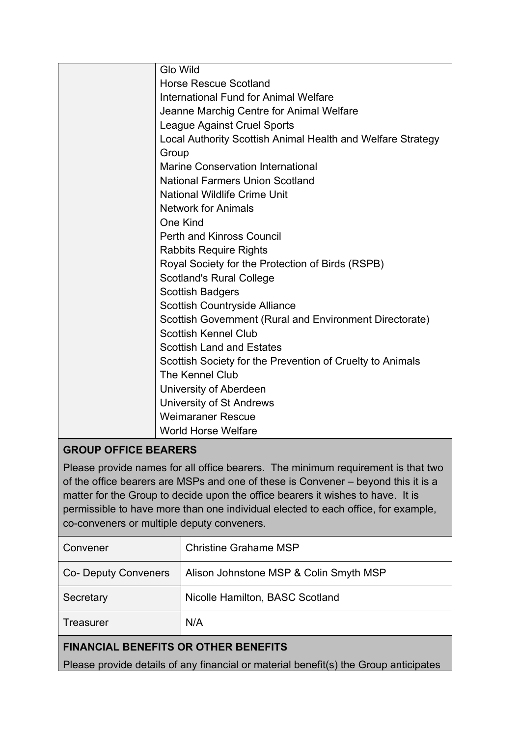| <b>Glo Wild</b>                                             |
|-------------------------------------------------------------|
| <b>Horse Rescue Scotland</b>                                |
| International Fund for Animal Welfare                       |
| Jeanne Marchig Centre for Animal Welfare                    |
| League Against Cruel Sports                                 |
| Local Authority Scottish Animal Health and Welfare Strategy |
| Group                                                       |
| <b>Marine Conservation International</b>                    |
| <b>National Farmers Union Scotland</b>                      |
| <b>National Wildlife Crime Unit</b>                         |
| <b>Network for Animals</b>                                  |
| One Kind                                                    |
| <b>Perth and Kinross Council</b>                            |
| <b>Rabbits Require Rights</b>                               |
| Royal Society for the Protection of Birds (RSPB)            |
| <b>Scotland's Rural College</b>                             |
| <b>Scottish Badgers</b>                                     |
| Scottish Countryside Alliance                               |
| Scottish Government (Rural and Environment Directorate)     |
| <b>Scottish Kennel Club</b>                                 |
| <b>Scottish Land and Estates</b>                            |
| Scottish Society for the Prevention of Cruelty to Animals   |
| The Kennel Club                                             |
| University of Aberdeen                                      |
| <b>University of St Andrews</b>                             |
| <b>Weimaraner Rescue</b>                                    |
| <b>World Horse Welfare</b>                                  |

## **GROUP OFFICE BEARERS**

Please provide names for all office bearers. The minimum requirement is that two of the office bearers are MSPs and one of these is Convener – beyond this it is a matter for the Group to decide upon the office bearers it wishes to have. It is permissible to have more than one individual elected to each office, for example, co-conveners or multiple deputy conveners.

| Convener                                                                             | <b>Christine Grahame MSP</b>           |  |  |
|--------------------------------------------------------------------------------------|----------------------------------------|--|--|
| Co- Deputy Conveners                                                                 | Alison Johnstone MSP & Colin Smyth MSP |  |  |
| Secretary                                                                            | Nicolle Hamilton, BASC Scotland        |  |  |
| Treasurer                                                                            | N/A                                    |  |  |
| <b>FINANCIAL BENEFITS OR OTHER BENEFITS</b>                                          |                                        |  |  |
| Please provide details of any financial or material benefit(s) the Group anticipates |                                        |  |  |